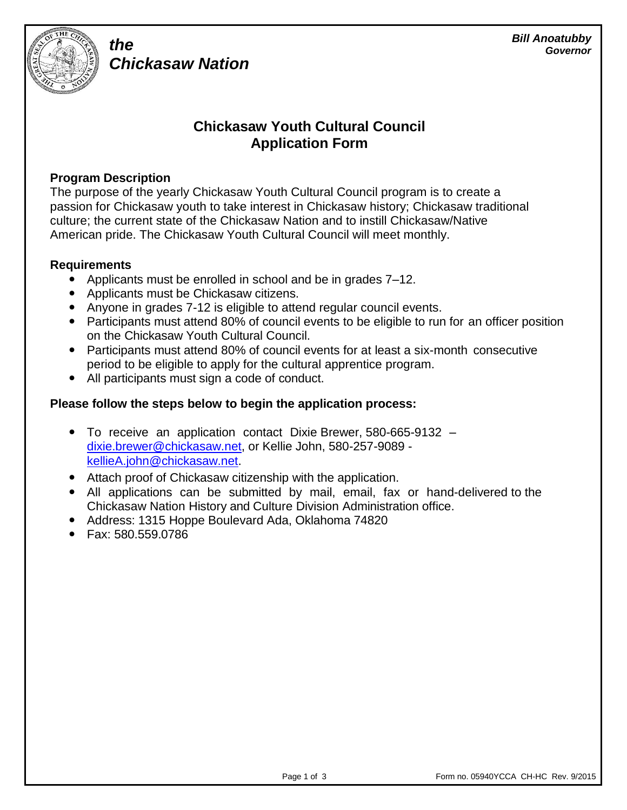

# *Chickasaw Nation*

## **Chickasaw Youth Cultural Council Application Form**

## **Program Description**

*the*

The purpose of the yearly Chickasaw Youth Cultural Council program is to create a passion for Chickasaw youth to take interest in Chickasaw history; Chickasaw traditional culture; the current state of the Chickasaw Nation and to instill Chickasaw/Native American pride. The Chickasaw Youth Cultural Council will meet monthly.

## **Requirements**

- Applicants must be enrolled in school and be in grades 7–12.
- Applicants must be Chickasaw citizens.
- Anyone in grades 7-12 is eligible to attend regular council events.
- Participants must attend 80% of council events to be eligible to run for an officer position on the Chickasaw Youth Cultural Council.
- Participants must attend 80% of council events for at least a six-month consecutive period to be eligible to apply for the cultural apprentice program.
- All participants must sign a code of conduct.

## **Please follow the steps below to begin the application process:**

- To receive an application contact Dixie Brewer, 580-665-9132 dixie.brewer@chickasaw.net, or Kellie John, 580-257-9089 kellieA.john@chickasaw.net.
- Attach proof of Chickasaw citizenship with the application.
- All applications can be submitted by mail, email, fax or hand-delivered to the Chickasaw Nation History and Culture Division Administration office.
- Address: 1315 Hoppe Boulevard Ada, Oklahoma 74820
- Fax: 580.559.0786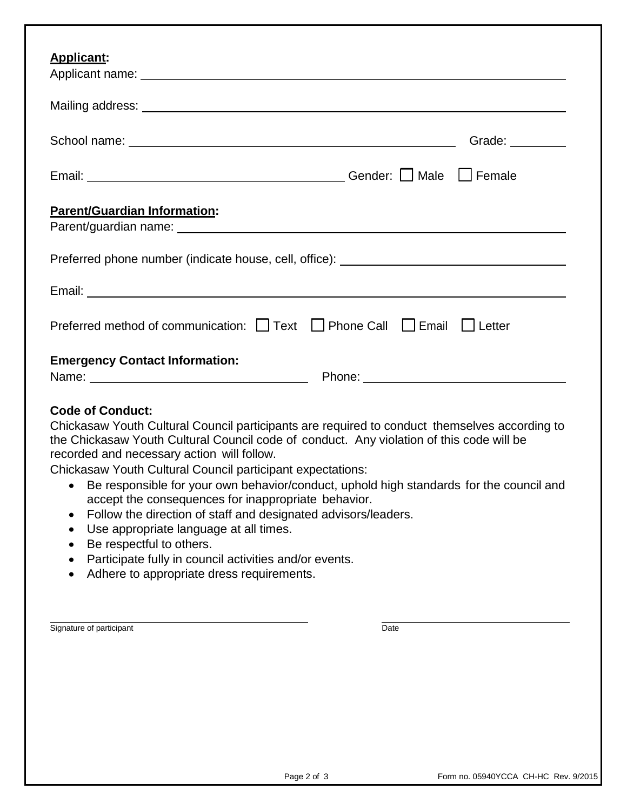| Applicant:                                                                                                                                                                                                                                                                                                                                                                                                                                                                                                                                                                                                                                                                                                                          |                                      |
|-------------------------------------------------------------------------------------------------------------------------------------------------------------------------------------------------------------------------------------------------------------------------------------------------------------------------------------------------------------------------------------------------------------------------------------------------------------------------------------------------------------------------------------------------------------------------------------------------------------------------------------------------------------------------------------------------------------------------------------|--------------------------------------|
|                                                                                                                                                                                                                                                                                                                                                                                                                                                                                                                                                                                                                                                                                                                                     |                                      |
|                                                                                                                                                                                                                                                                                                                                                                                                                                                                                                                                                                                                                                                                                                                                     | Grade: <u>Canadian Communication</u> |
| Email: <u>Network:</u> Cender: Nale DFemale                                                                                                                                                                                                                                                                                                                                                                                                                                                                                                                                                                                                                                                                                         |                                      |
| <b>Parent/Guardian Information:</b><br>Parent/guardian name:<br>and the contract of the contract of the contract of the contract of the contract of the contract of the contract of the contract of the contract of the contract of the contract of the contract of the                                                                                                                                                                                                                                                                                                                                                                                                                                                             |                                      |
| Preferred phone number (indicate house, cell, office): _________________________                                                                                                                                                                                                                                                                                                                                                                                                                                                                                                                                                                                                                                                    |                                      |
|                                                                                                                                                                                                                                                                                                                                                                                                                                                                                                                                                                                                                                                                                                                                     |                                      |
| Preferred method of communication: $\Box$ Text $\Box$ Phone Call $\Box$ Email $\Box$ Letter                                                                                                                                                                                                                                                                                                                                                                                                                                                                                                                                                                                                                                         |                                      |
| <b>Emergency Contact Information:</b>                                                                                                                                                                                                                                                                                                                                                                                                                                                                                                                                                                                                                                                                                               |                                      |
| <b>Code of Conduct:</b><br>Chickasaw Youth Cultural Council participants are required to conduct themselves according to<br>the Chickasaw Youth Cultural Council code of conduct. Any violation of this code will be<br>recorded and necessary action will follow.<br>Chickasaw Youth Cultural Council participant expectations:<br>• Be responsible for your own behavior/conduct, uphold high standards for the council and<br>accept the consequences for inappropriate behavior.<br>Follow the direction of staff and designated advisors/leaders.<br>Use appropriate language at all times.<br>Be respectful to others.<br>Participate fully in council activities and/or events.<br>Adhere to appropriate dress requirements. |                                      |
| Signature of participant                                                                                                                                                                                                                                                                                                                                                                                                                                                                                                                                                                                                                                                                                                            | Date                                 |